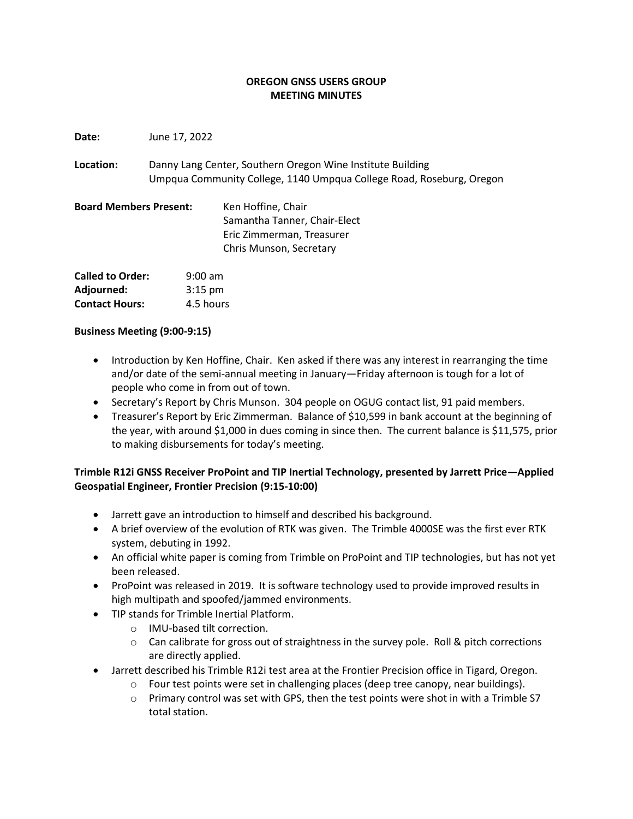#### **OREGON GNSS USERS GROUP MEETING MINUTES**

**Date:** June 17, 2022

**Location:** Danny Lang Center, Southern Oregon Wine Institute Building Umpqua Community College, 1140 Umpqua College Road, Roseburg, Oregon

**Board Members Present:** Ken Hoffine, Chair Samantha Tanner, Chair-Elect Eric Zimmerman, Treasurer Chris Munson, Secretary

| <b>Called to Order:</b> | $9:00$ am |
|-------------------------|-----------|
| Adjourned:              | $3:15$ pm |
| <b>Contact Hours:</b>   | 4.5 hours |

#### **Business Meeting (9:00-9:15)**

- Introduction by Ken Hoffine, Chair. Ken asked if there was any interest in rearranging the time and/or date of the semi-annual meeting in January—Friday afternoon is tough for a lot of people who come in from out of town.
- Secretary's Report by Chris Munson. 304 people on OGUG contact list, 91 paid members.
- Treasurer's Report by Eric Zimmerman. Balance of \$10,599 in bank account at the beginning of the year, with around \$1,000 in dues coming in since then. The current balance is \$11,575, prior to making disbursements for today's meeting.

## **Trimble R12i GNSS Receiver ProPoint and TIP Inertial Technology, presented by Jarrett Price—Applied Geospatial Engineer, Frontier Precision (9:15-10:00)**

- Jarrett gave an introduction to himself and described his background.
- A brief overview of the evolution of RTK was given. The Trimble 4000SE was the first ever RTK system, debuting in 1992.
- An official white paper is coming from Trimble on ProPoint and TIP technologies, but has not yet been released.
- ProPoint was released in 2019. It is software technology used to provide improved results in high multipath and spoofed/jammed environments.
- TIP stands for Trimble Inertial Platform.
	- o IMU-based tilt correction.
	- $\circ$  Can calibrate for gross out of straightness in the survey pole. Roll & pitch corrections are directly applied.
- Jarrett described his Trimble R12i test area at the Frontier Precision office in Tigard, Oregon.
	- $\circ$  Four test points were set in challenging places (deep tree canopy, near buildings).
	- $\circ$  Primary control was set with GPS, then the test points were shot in with a Trimble S7 total station.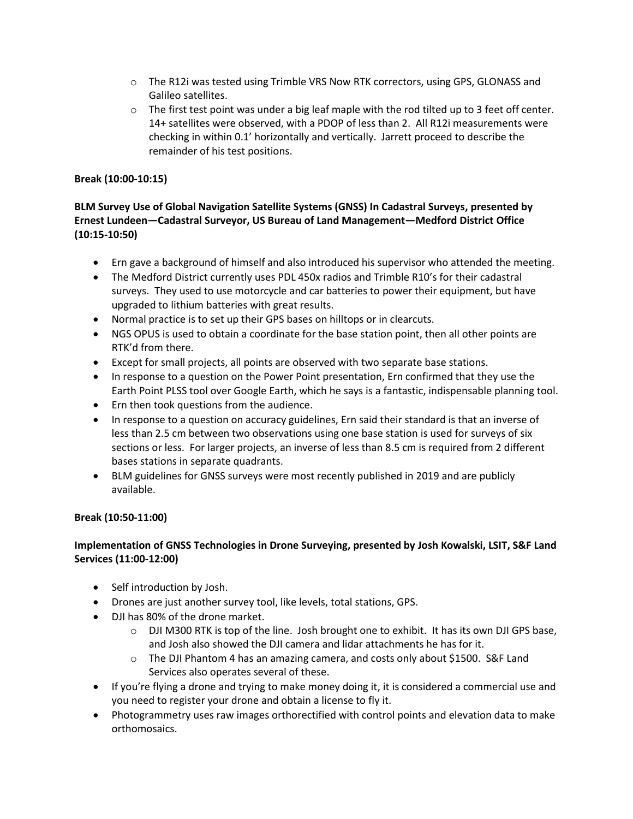- o The R12i was tested using Trimble VRS Now RTK correctors, using GPS, GLONASS and Galileo satellites.
- $\circ$  The first test point was under a big leaf maple with the rod tilted up to 3 feet off center. 14+ satellites were observed, with a PDOP of less than 2. All R12i measurements were checking in within 0.1' horizontally and vertically. Jarrett proceed to describe the remainder of his test positions.

#### **Break (10:00-10:15)**

# **BLM Survey Use of Global Navigation Satellite Systems (GNSS) In Cadastral Surveys, presented by Ernest Lundeen—Cadastral Surveyor, US Bureau of Land Management—Medford District Office (10:15-10:50)**

- Ern gave a background of himself and also introduced his supervisor who attended the meeting.
- The Medford District currently uses PDL 450x radios and Trimble R10's for their cadastral surveys. They used to use motorcycle and car batteries to power their equipment, but have upgraded to lithium batteries with great results.
- Normal practice is to set up their GPS bases on hilltops or in clearcuts.
- NGS OPUS is used to obtain a coordinate for the base station point, then all other points are RTK'd from there.
- Except for small projects, all points are observed with two separate base stations.
- In response to a question on the Power Point presentation, Ern confirmed that they use the Earth Point PLSS tool over Google Earth, which he says is a fantastic, indispensable planning tool.
- Ern then took questions from the audience.
- In response to a question on accuracy guidelines, Ern said their standard is that an inverse of less than 2.5 cm between two observations using one base station is used for surveys of six sections or less. For larger projects, an inverse of less than 8.5 cm is required from 2 different bases stations in separate quadrants.
- BLM guidelines for GNSS surveys were most recently published in 2019 and are publicly available.

#### **Break (10:50-11:00)**

## **Implementation of GNSS Technologies in Drone Surveying, presented by Josh Kowalski, LSIT, S&F Land Services (11:00-12:00)**

- Self introduction by Josh.
- Drones are just another survey tool, like levels, total stations, GPS.
- DJI has 80% of the drone market.
	- o DJI M300 RTK is top of the line. Josh brought one to exhibit. It has its own DJI GPS base, and Josh also showed the DJI camera and lidar attachments he has for it.
	- $\circ$  The DJI Phantom 4 has an amazing camera, and costs only about \$1500. S&F Land Services also operates several of these.
- If you're flying a drone and trying to make money doing it, it is considered a commercial use and you need to register your drone and obtain a license to fly it.
- Photogrammetry uses raw images orthorectified with control points and elevation data to make orthomosaics.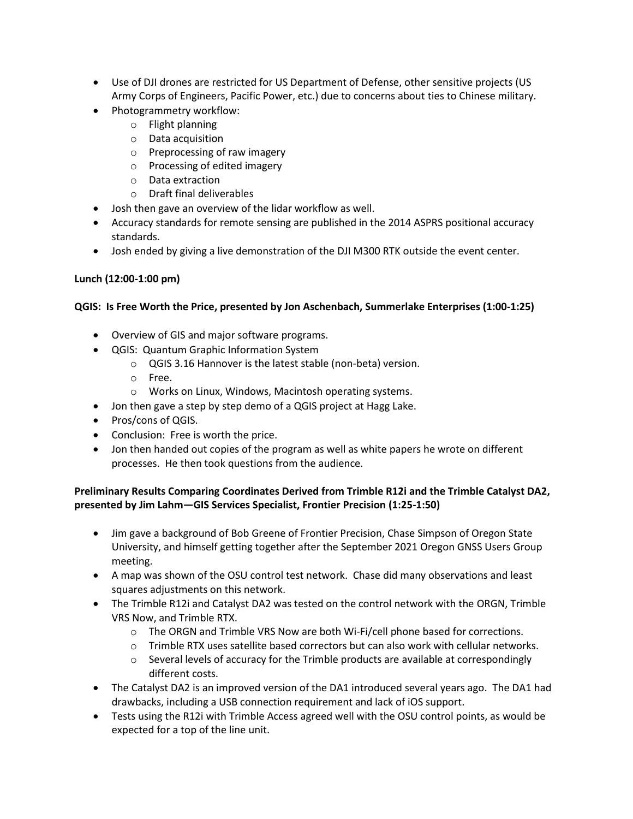- Use of DJI drones are restricted for US Department of Defense, other sensitive projects (US Army Corps of Engineers, Pacific Power, etc.) due to concerns about ties to Chinese military.
- Photogrammetry workflow:
	- o Flight planning
	- o Data acquisition
	- o Preprocessing of raw imagery
	- o Processing of edited imagery
	- o Data extraction
	- o Draft final deliverables
- Josh then gave an overview of the lidar workflow as well.
- Accuracy standards for remote sensing are published in the 2014 ASPRS positional accuracy standards.
- Josh ended by giving a live demonstration of the DJI M300 RTK outside the event center.

## **Lunch (12:00-1:00 pm)**

## **QGIS: Is Free Worth the Price, presented by Jon Aschenbach, Summerlake Enterprises (1:00-1:25)**

- Overview of GIS and major software programs.
- QGIS: Quantum Graphic Information System
	- o QGIS 3.16 Hannover is the latest stable (non-beta) version.
	- o Free.
	- o Works on Linux, Windows, Macintosh operating systems.
- Jon then gave a step by step demo of a QGIS project at Hagg Lake.
- Pros/cons of QGIS.
- Conclusion: Free is worth the price.
- Jon then handed out copies of the program as well as white papers he wrote on different processes. He then took questions from the audience.

## **Preliminary Results Comparing Coordinates Derived from Trimble R12i and the Trimble Catalyst DA2, presented by Jim Lahm—GIS Services Specialist, Frontier Precision (1:25-1:50)**

- Jim gave a background of Bob Greene of Frontier Precision, Chase Simpson of Oregon State University, and himself getting together after the September 2021 Oregon GNSS Users Group meeting.
- A map was shown of the OSU control test network. Chase did many observations and least squares adjustments on this network.
- The Trimble R12i and Catalyst DA2 was tested on the control network with the ORGN, Trimble VRS Now, and Trimble RTX.
	- o The ORGN and Trimble VRS Now are both Wi-Fi/cell phone based for corrections.
	- $\circ$  Trimble RTX uses satellite based correctors but can also work with cellular networks.
	- $\circ$  Several levels of accuracy for the Trimble products are available at correspondingly different costs.
- The Catalyst DA2 is an improved version of the DA1 introduced several years ago. The DA1 had drawbacks, including a USB connection requirement and lack of iOS support.
- Tests using the R12i with Trimble Access agreed well with the OSU control points, as would be expected for a top of the line unit.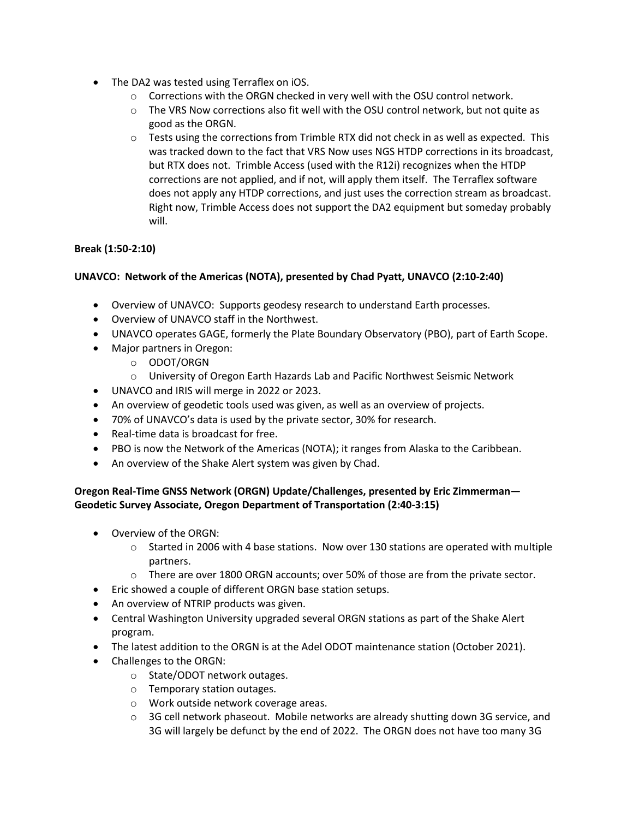- The DA2 was tested using Terraflex on iOS.
	- o Corrections with the ORGN checked in very well with the OSU control network.
	- $\circ$  The VRS Now corrections also fit well with the OSU control network, but not quite as good as the ORGN.
	- $\circ$  Tests using the corrections from Trimble RTX did not check in as well as expected. This was tracked down to the fact that VRS Now uses NGS HTDP corrections in its broadcast, but RTX does not. Trimble Access (used with the R12i) recognizes when the HTDP corrections are not applied, and if not, will apply them itself. The Terraflex software does not apply any HTDP corrections, and just uses the correction stream as broadcast. Right now, Trimble Access does not support the DA2 equipment but someday probably will.

## **Break (1:50-2:10)**

# **UNAVCO: Network of the Americas (NOTA), presented by Chad Pyatt, UNAVCO (2:10-2:40)**

- Overview of UNAVCO: Supports geodesy research to understand Earth processes.
- Overview of UNAVCO staff in the Northwest.
- UNAVCO operates GAGE, formerly the Plate Boundary Observatory (PBO), part of Earth Scope.
- Major partners in Oregon:
	- o ODOT/ORGN
	- o University of Oregon Earth Hazards Lab and Pacific Northwest Seismic Network
- UNAVCO and IRIS will merge in 2022 or 2023.
- An overview of geodetic tools used was given, as well as an overview of projects.
- 70% of UNAVCO's data is used by the private sector, 30% for research.
- Real-time data is broadcast for free.
- PBO is now the Network of the Americas (NOTA); it ranges from Alaska to the Caribbean.
- An overview of the Shake Alert system was given by Chad.

## **Oregon Real-Time GNSS Network (ORGN) Update/Challenges, presented by Eric Zimmerman— Geodetic Survey Associate, Oregon Department of Transportation (2:40-3:15)**

- Overview of the ORGN:
	- $\circ$  Started in 2006 with 4 base stations. Now over 130 stations are operated with multiple partners.
	- o There are over 1800 ORGN accounts; over 50% of those are from the private sector.
- Eric showed a couple of different ORGN base station setups.
- An overview of NTRIP products was given.
- Central Washington University upgraded several ORGN stations as part of the Shake Alert program.
- The latest addition to the ORGN is at the Adel ODOT maintenance station (October 2021).
- Challenges to the ORGN:
	- o State/ODOT network outages.
	- o Temporary station outages.
	- o Work outside network coverage areas.
	- o 3G cell network phaseout. Mobile networks are already shutting down 3G service, and 3G will largely be defunct by the end of 2022. The ORGN does not have too many 3G